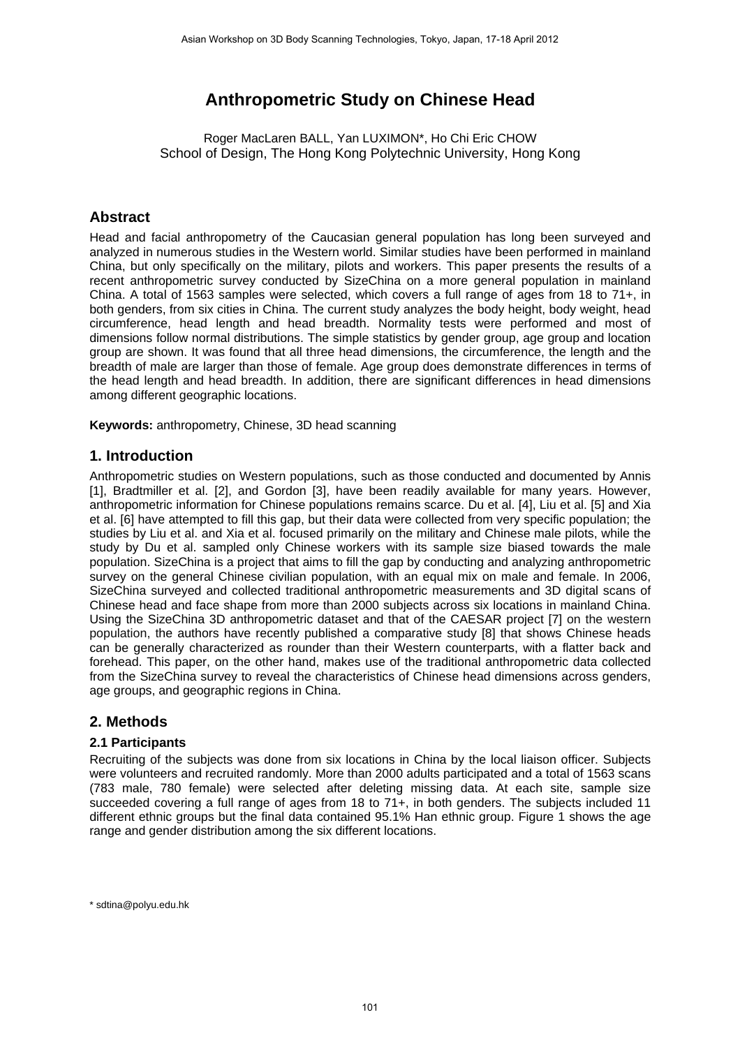# **Anthropometric Study on Chinese Head**

Roger MacLaren BALL, Yan LUXIMON\*, Ho Chi Eric CHOW School of Design, The Hong Kong Polytechnic University, Hong Kong

## **Abstract**

Head and facial anthropometry of the Caucasian general population has long been surveyed and analyzed in numerous studies in the Western world. Similar studies have been performed in mainland China, but only specifically on the military, pilots and workers. This paper presents the results of a recent anthropometric survey conducted by SizeChina on a more general population in mainland China. A total of 1563 samples were selected, which covers a full range of ages from 18 to 71+, in both genders, from six cities in China. The current study analyzes the body height, body weight, head circumference, head length and head breadth. Normality tests were performed and most of dimensions follow normal distributions. The simple statistics by gender group, age group and location group are shown. It was found that all three head dimensions, the circumference, the length and the breadth of male are larger than those of female. Age group does demonstrate differences in terms of the head length and head breadth. In addition, there are significant differences in head dimensions among different geographic locations.

**Keywords:** anthropometry, Chinese, 3D head scanning

## **1. Introduction**

Anthropometric studies on Western populations, such as those conducted and documented by Annis [1], Bradtmiller et al. [2], and Gordon [3], have been readily available for many years. However, anthropometric information for Chinese populations remains scarce. Du et al. [4], Liu et al. [5] and Xia et al. [6] have attempted to fill this gap, but their data were collected from very specific population; the studies by Liu et al. and Xia et al. focused primarily on the military and Chinese male pilots, while the study by Du et al. sampled only Chinese workers with its sample size biased towards the male population. SizeChina is a project that aims to fill the gap by conducting and analyzing anthropometric survey on the general Chinese civilian population, with an equal mix on male and female. In 2006, SizeChina surveyed and collected traditional anthropometric measurements and 3D digital scans of Chinese head and face shape from more than 2000 subjects across six locations in mainland China. Using the SizeChina 3D anthropometric dataset and that of the CAESAR project [7] on the western population, the authors have recently published a comparative study [8] that shows Chinese heads can be generally characterized as rounder than their Western counterparts, with a flatter back and forehead. This paper, on the other hand, makes use of the traditional anthropometric data collected from the SizeChina survey to reveal the characteristics of Chinese head dimensions across genders, age groups, and geographic regions in China.

## **2. Methods**

#### **2.1 Participants**

Recruiting of the subjects was done from six locations in China by the local liaison officer. Subjects were volunteers and recruited randomly. More than 2000 adults participated and a total of 1563 scans (783 male, 780 female) were selected after deleting missing data. At each site, sample size succeeded covering a full range of ages from 18 to 71+, in both genders. The subjects included 11 different ethnic groups but the final data contained 95.1% Han ethnic group. Figure 1 shows the age range and gender distribution among the six different locations.

\* sdtina@polyu.edu.hk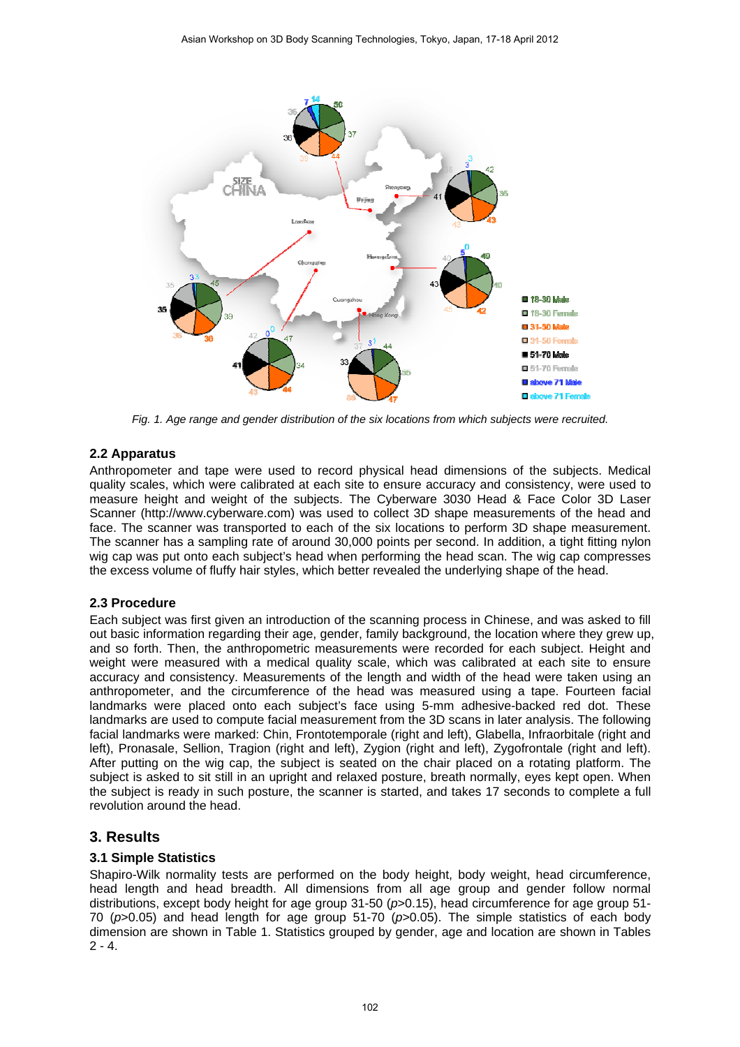

*Fig. 1. Age range and gender distribution of the six locations from which subjects were recruited.* 

#### **2.2 Apparatus**

Anthropometer and tape were used to record physical head dimensions of the subjects. Medical quality scales, which were calibrated at each site to ensure accuracy and consistency, were used to measure height and weight of the subjects. The Cyberware 3030 Head & Face Color 3D Laser Scanner (http://www.cyberware.com) was used to collect 3D shape measurements of the head and face. The scanner was transported to each of the six locations to perform 3D shape measurement. The scanner has a sampling rate of around 30,000 points per second. In addition, a tight fitting nylon wig cap was put onto each subject's head when performing the head scan. The wig cap compresses the excess volume of fluffy hair styles, which better revealed the underlying shape of the head.

#### **2.3 Procedure**

Each subject was first given an introduction of the scanning process in Chinese, and was asked to fill out basic information regarding their age, gender, family background, the location where they grew up, and so forth. Then, the anthropometric measurements were recorded for each subject. Height and weight were measured with a medical quality scale, which was calibrated at each site to ensure accuracy and consistency. Measurements of the length and width of the head were taken using an anthropometer, and the circumference of the head was measured using a tape. Fourteen facial landmarks were placed onto each subject's face using 5-mm adhesive-backed red dot. These landmarks are used to compute facial measurement from the 3D scans in later analysis. The following facial landmarks were marked: Chin, Frontotemporale (right and left), Glabella, Infraorbitale (right and left), Pronasale, Sellion, Tragion (right and left), Zygion (right and left), Zygofrontale (right and left). After putting on the wig cap, the subject is seated on the chair placed on a rotating platform. The subject is asked to sit still in an upright and relaxed posture, breath normally, eyes kept open. When the subject is ready in such posture, the scanner is started, and takes 17 seconds to complete a full revolution around the head.

## **3. Results**

#### **3.1 Simple Statistics**

Shapiro-Wilk normality tests are performed on the body height, body weight, head circumference, head length and head breadth. All dimensions from all age group and gender follow normal distributions, except body height for age group 31-50 (*p*>0.15), head circumference for age group 51- 70 (*p*>0.05) and head length for age group 51-70 (*p*>0.05). The simple statistics of each body dimension are shown in Table 1. Statistics grouped by gender, age and location are shown in Tables  $2 - 4.$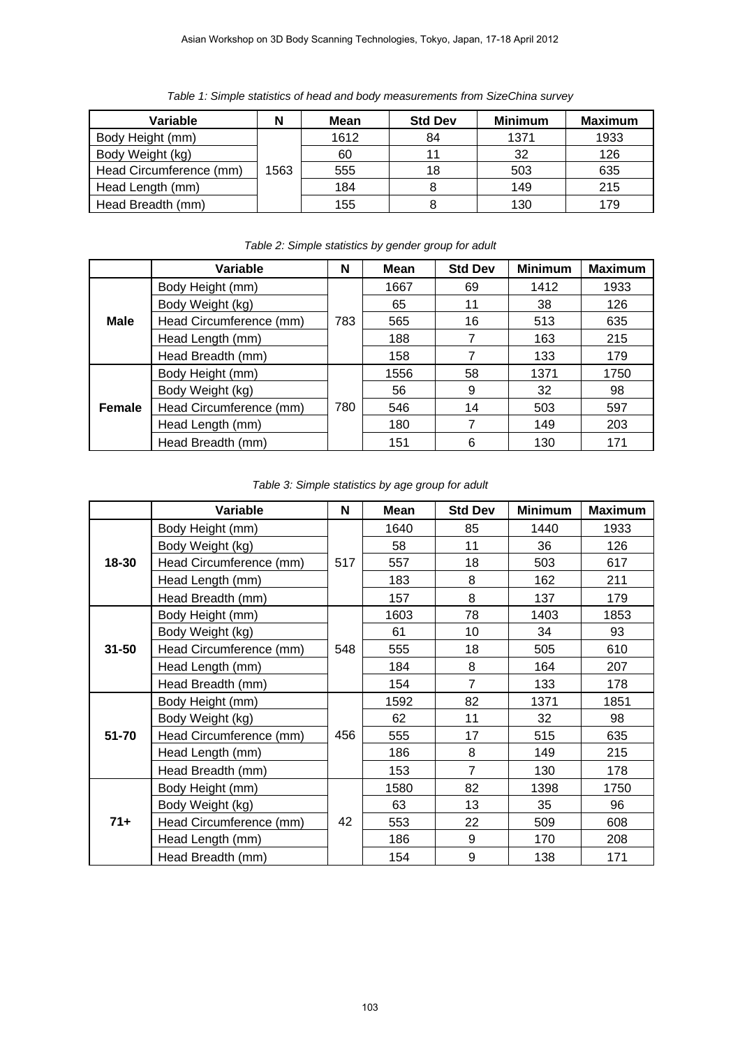*Table 1: Simple statistics of head and body measurements from SizeChina survey* 

| Variable                |      | <b>Mean</b> | <b>Std Dev</b> | <b>Minimum</b> | <b>Maximum</b> |
|-------------------------|------|-------------|----------------|----------------|----------------|
| Body Height (mm)        |      | 1612        | 84             | 1371           | 1933           |
| Body Weight (kg)        |      | 60          |                | 32             | 126            |
| Head Circumference (mm) | 1563 | 555         | 18             | 503            | 635            |
| Head Length (mm)        |      | 184         |                | 149            | 215            |
| Head Breadth (mm)       |      | 155         |                | 130            | 179            |

|               | Variable                | N   | Mean | <b>Std Dev</b> | <b>Minimum</b> | <b>Maximum</b> |
|---------------|-------------------------|-----|------|----------------|----------------|----------------|
| <b>Male</b>   | Body Height (mm)        | 783 | 1667 | 69             | 1412           | 1933           |
|               | Body Weight (kg)        |     | 65   | 11             | 38             | 126            |
|               | Head Circumference (mm) |     | 565  | 16             | 513            | 635            |
|               | Head Length (mm)        |     | 188  |                | 163            | 215            |
|               | Head Breadth (mm)       |     | 158  |                | 133            | 179            |
|               | Body Height (mm)        |     | 1556 | 58             | 1371           | 1750           |
|               | Body Weight (kg)        |     | 56   | 9              | 32             | 98             |
| <b>Female</b> | Head Circumference (mm) | 780 | 546  | 14             | 503            | 597            |
|               | Head Length (mm)        |     | 180  | 7              | 149            | 203            |
|               | Head Breadth (mm)       |     | 151  | 6              | 130            | 171            |

*Table 2: Simple statistics by gender group for adult*

|           | Variable                | N   | <b>Mean</b> | <b>Std Dev</b> | <b>Minimum</b> | <b>Maximum</b>                                                                                 |
|-----------|-------------------------|-----|-------------|----------------|----------------|------------------------------------------------------------------------------------------------|
| 18-30     | Body Height (mm)        |     | 1640        | 85             | 1440           | 1933                                                                                           |
|           | Body Weight (kg)        | 517 | 58          | 11             | 36             | 126                                                                                            |
|           | Head Circumference (mm) |     | 557         | 18             | 503            | 617                                                                                            |
|           | Head Length (mm)        |     | 183         | 8              | 162            | 211                                                                                            |
|           | Head Breadth (mm)       |     | 157         | 8              | 137            | 179<br>1853<br>93<br>610<br>207<br>178<br>1851<br>98<br>635<br>215<br>178<br>1750<br>96<br>608 |
| $31 - 50$ | Body Height (mm)        |     | 1603        | 78             | 1403           |                                                                                                |
|           | Body Weight (kg)        |     | 61          | 10             | 34             |                                                                                                |
|           | Head Circumference (mm) | 548 | 555         | 18             | 505            |                                                                                                |
|           | Head Length (mm)        |     | 184         | 8              | 164            |                                                                                                |
|           | Head Breadth (mm)       |     | 154         | $\overline{7}$ | 133            |                                                                                                |
|           | Body Height (mm)        |     | 1592        | 82             | 1371           |                                                                                                |
|           | Body Weight (kg)        |     | 62          | 11             | 32             |                                                                                                |
| 51-70     | Head Circumference (mm) | 456 | 555         | 17             | 515            |                                                                                                |
|           | Head Length (mm)        |     | 186         | 8              | 149            |                                                                                                |
|           | Head Breadth (mm)       |     | 153         | $\overline{7}$ | 130            |                                                                                                |
| $71+$     | Body Height (mm)        |     | 1580        | 82             | 1398           |                                                                                                |
|           | Body Weight (kg)        | 42  | 63          | 13             | 35             |                                                                                                |
|           | Head Circumference (mm) |     | 553         | 22             | 509            |                                                                                                |
|           | Head Length (mm)        |     | 186         | 9              | 170            | 208                                                                                            |
|           | Head Breadth (mm)       |     | 154         | 9              | 138            | 171                                                                                            |

*Table 3: Simple statistics by age group for adult*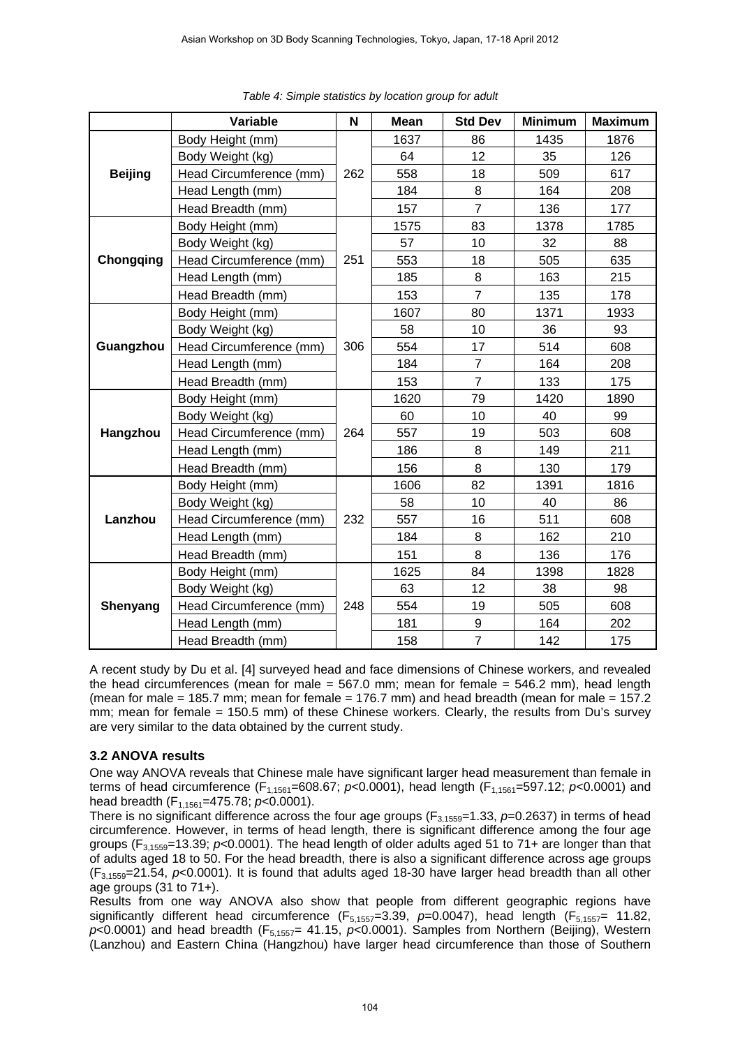|                  | Variable                | N   | <b>Mean</b> | <b>Std Dev</b> | <b>Minimum</b> | <b>Maximum</b> |
|------------------|-------------------------|-----|-------------|----------------|----------------|----------------|
|                  | Body Height (mm)        |     | 1637        | 86             | 1435           | 1876           |
|                  | Body Weight (kg)        | 262 | 64          | 12             | 35             | 126            |
| <b>Beijing</b>   | Head Circumference (mm) |     | 558         | 18             | 509            | 617            |
|                  | Head Length (mm)        |     | 184         | 8              | 164            | 208            |
|                  | Head Breadth (mm)       |     | 157         | $\overline{7}$ | 136            | 177            |
|                  | Body Height (mm)        |     | 1575        | 83             | 1378           | 1785           |
|                  | Body Weight (kg)        |     | 57          | 10             | 32             | 88             |
| <b>Chongqing</b> | Head Circumference (mm) | 251 | 553         | 18             | 505            | 635            |
|                  | Head Length (mm)        |     | 185         | 8              | 163            | 215            |
|                  | Head Breadth (mm)       |     | 153         | $\overline{7}$ | 135            | 178            |
|                  | Body Height (mm)        |     | 1607        | 80             | 1371           | 1933           |
| Guangzhou        | Body Weight (kg)        | 306 | 58          | 10             | 36             | 93             |
|                  | Head Circumference (mm) |     | 554         | 17             | 514            | 608            |
|                  | Head Length (mm)        |     | 184         | $\overline{7}$ | 164            | 208            |
|                  | Head Breadth (mm)       |     | 153         | $\overline{7}$ | 133            | 175            |
| Hangzhou         | Body Height (mm)        | 264 | 1620        | 79             | 1420           | 1890           |
|                  | Body Weight (kg)        |     | 60          | 10             | 40             | 99             |
|                  | Head Circumference (mm) |     | 557         | 19             | 503            | 608            |
|                  | Head Length (mm)        |     | 186         | 8              | 149            | 211            |
|                  | Head Breadth (mm)       |     | 156         | 8              | 130            | 179            |
|                  | Body Height (mm)        |     | 1606        | 82             | 1391           | 1816           |
|                  | Body Weight (kg)        |     | 58          | 10             | 40             | 86             |
| Lanzhou          | Head Circumference (mm) | 232 | 557         | 16             | 511            | 608            |
|                  | Head Length (mm)        |     | 184         | 8              | 162            | 210            |
|                  | Head Breadth (mm)       |     | 151         | 8              | 136            | 176            |
| Shenyang         | Body Height (mm)        |     | 1625        | 84             | 1398           | 1828           |
|                  | Body Weight (kg)        |     | 63          | 12             | 38             | 98             |
|                  | Head Circumference (mm) | 248 | 554         | 19             | 505            | 608            |
|                  | Head Length (mm)        |     | 181         | 9              | 164            | 202            |
|                  | Head Breadth (mm)       |     | 158         | $\overline{7}$ | 142            | 175            |

A recent study by Du et al. [4] surveyed head and face dimensions of Chinese workers, and revealed the head circumferences (mean for male  $=$  567.0 mm; mean for female  $=$  546.2 mm), head length (mean for male = 185.7 mm; mean for female = 176.7 mm) and head breadth (mean for male = 157.2 mm; mean for female = 150.5 mm) of these Chinese workers. Clearly, the results from Du's survey are very similar to the data obtained by the current study.

#### **3.2 ANOVA results**

One way ANOVA reveals that Chinese male have significant larger head measurement than female in terms of head circumference (F<sub>1,1561</sub>=608.67; *p*<0.0001), head length (F<sub>1,1561</sub>=597.12; *p*<0.0001) and head breadth (F<sub>1,1561</sub>=475.78; *p*<0.0001).

There is no significant difference across the four age groups ( $F_{3,1559}=1.33$ ,  $p=0.2637$ ) in terms of head circumference. However, in terms of head length, there is significant difference among the four age groups (F3,1559=13.39; *p*<0.0001). The head length of older adults aged 51 to 71+ are longer than that of adults aged 18 to 50. For the head breadth, there is also a significant difference across age groups (F3,1559=21.54, *p*<0.0001). It is found that adults aged 18-30 have larger head breadth than all other age groups (31 to 71+).

Results from one way ANOVA also show that people from different geographic regions have significantly different head circumference (F<sub>5,1557</sub>=3.39, p=0.0047), head length (F<sub>5,1557</sub>= 11.82,  $p$ <0.0001) and head breadth (F<sub>5,1557</sub>= 41.15,  $p$ <0.0001). Samples from Northern (Beijing), Western (Lanzhou) and Eastern China (Hangzhou) have larger head circumference than those of Southern